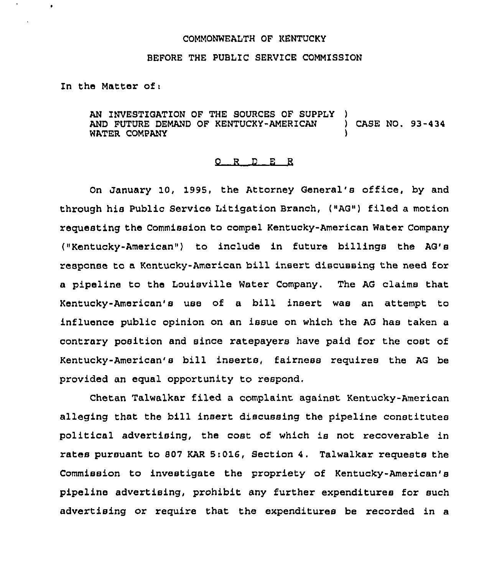## COMMONWEALTH OF KENTUCKY

## BEFORE THE PUBLIC SERVICE COMMISSION

In the Matter of:

AN INVESTIGATION OF THE SOURCES OF SUPPLY AND FUTURE DEMAND OF KENTUCkY-AMERICAN ) CASE NO. 93-434 WATER COMPANY

## 0 R <sup>D</sup> E <sup>R</sup>

On January 10, 1995, the Attorney General's office, by and through his Public Service Litigation Branch, ("AG") filed a motion requesting the Commission to compel Kentucky-American Water Company ("Kentucky-American") to include in future billings the AG's response to a Kentucky-American bill insert discussing the need for a pipeline to the Louisville Water Company. The AG claims that Kentucky-American's use of a bill insert was an attempt to influence public opinion on an issue on which the AG has taken a contrary position and since ratepayers have paid for the cost of Kentucky-American's bill inserts, fairness requires the AG be provided an equal opportunity to respond.

Chetan Talwalkar filed a complaint against Kentucky-American alleging that the bill insert discussing the pipeline constitutes political advertising, the cost of which is not recoverable in rates pursuant to 807 KAR 5:016, Section 4. Talwalkar requests the Commission to investigate the propriety of Kentucky-American'8 pipeline advertising, prohibit any further expenditures for such advertising or require that the expenditures be recorded in a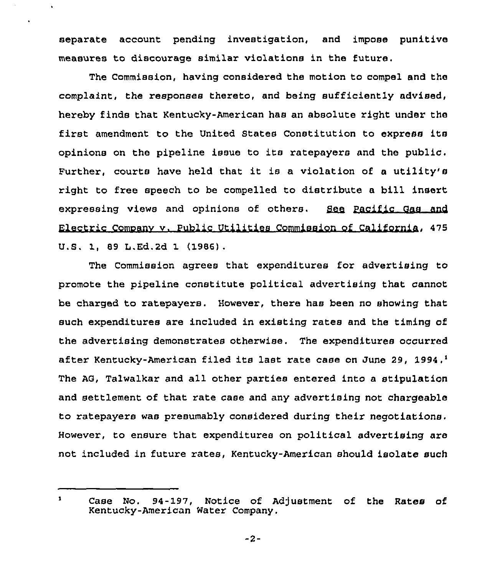separate account pending investigation, and impose punitive measures to discourage similar violations in the future.

 $\ddot{\phantom{0}}$ 

The Commission, having considered the motion to compel and the complaint, the responses thereto, and being sufficiently advised, hereby finds that Kentucky-American has an absolute right under the first amendment to the United States Constitution to express its opinions on the pipeline issue to its ratepayers and the public. Further, courts have held that it is <sup>a</sup> violation of <sup>a</sup> utility's right to free speech to be compelled to distribute a bill insert expressing views and opinions of others. See Pacific Gas and Electric Comoanv v. Public Utilities Commission of Cali fornia, 475 U.S. 1, 89 L.Ed.2d 1 (1986).

The Commission agrees that expenditures for advertising to promote the pipeline constitute political advertising that cannot be charged to ratepayers. However, there has been no showing that such expenditures are included in existing rates and the timing of the advertising demonstrates otherwise. The expenditures occurred after Kentucky-American filed its last rate case on June 29, 1994.<sup>1</sup> The AG, Talwalkar and all other parties entered into a stipulation and settlement of that rate case and any advertising not chargeable to ratepayers was presumably considered during their negotiations. However, to ensure that expenditures on political advertising are not included in future rates, Kentucky-American should isolate such

 $\mathbf{1}$ Case No. 94-197, Notice of Adjustment of the Rates of Kentucky-American Water Company.